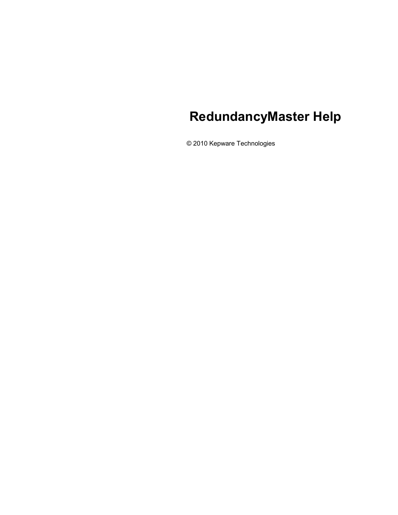# **RedundancyMaster Help**

© 2010 Kepware Technologies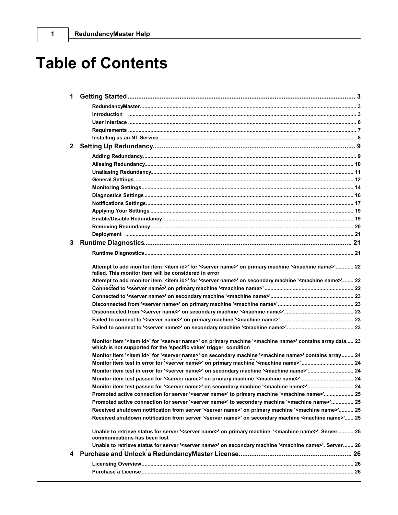# **Table of Contents**

| 3. |                                                                                                                                                                                                                   |  |
|----|-------------------------------------------------------------------------------------------------------------------------------------------------------------------------------------------------------------------|--|
|    |                                                                                                                                                                                                                   |  |
|    |                                                                                                                                                                                                                   |  |
|    | Attempt to add monitor item ' <item id="">' for '<server name="">' on primary machine '<machine name="">' 22<br/>failed. This monitor item will be considered in error</machine></server></item>                  |  |
|    | Attempt to add monitor item ' <item id="">' for '<server name="">' on secondary machine '<machine name="">' 22</machine></server></item>                                                                          |  |
|    |                                                                                                                                                                                                                   |  |
|    |                                                                                                                                                                                                                   |  |
|    |                                                                                                                                                                                                                   |  |
|    |                                                                                                                                                                                                                   |  |
|    |                                                                                                                                                                                                                   |  |
|    |                                                                                                                                                                                                                   |  |
|    | Monitor item ' <item id="">' for '<server name="">' on primary machine '<machine name="">' contains array data 23<br/>which is not supported for the 'specific value' trigger condition</machine></server></item> |  |
|    | Monitor item ' <item id="">' for '<server name="">' on secondary machine '<machine name="">' contains array 24</machine></server></item>                                                                          |  |
|    |                                                                                                                                                                                                                   |  |
|    | Monitor item test in error for ' <server name="">' on secondary machine '<machine name="">' 24</machine></server>                                                                                                 |  |
|    |                                                                                                                                                                                                                   |  |
|    | Monitor item test passed for ' <server name="">' on secondary machine '<machine name="">' 24</machine></server>                                                                                                   |  |
|    | Promoted active connection for server ' <server name="">' to primary machine '<machine name="">' 25</machine></server>                                                                                            |  |
|    | Promoted active connection for server ' <server name="">' to secondary machine '<machine name="">' 25</machine></server>                                                                                          |  |
|    | Received shutdown notification from server ' <server name="">' on primary machine '<machine name="">' 25</machine></server>                                                                                       |  |
|    | Received shutdown notification from server ' <server name="">' on secondary machine <machine name="">' 25</machine></server>                                                                                      |  |
|    | Unable to retrieve status for server ' <server name="">' on primary machine '<machine name="">'. Server 25<br/>communications has been lost</machine></server>                                                    |  |
|    | Unable to retrieve status for server ' <server name="">' on secondary machine '<machine name="">'. Server 26</machine></server>                                                                                   |  |
| 4  |                                                                                                                                                                                                                   |  |
|    |                                                                                                                                                                                                                   |  |
|    |                                                                                                                                                                                                                   |  |
|    |                                                                                                                                                                                                                   |  |

 $\mathbf 1$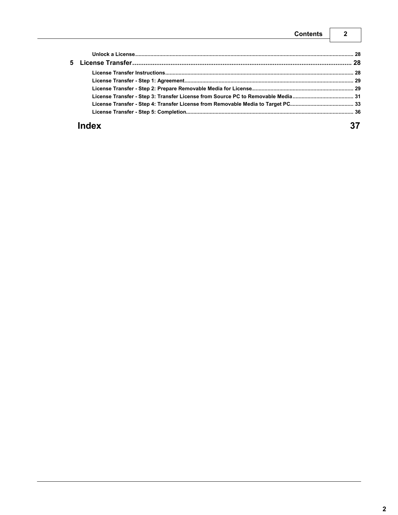| <b>Contents</b> |  |
|-----------------|--|
|                 |  |
|                 |  |
| Б.              |  |

# Index

37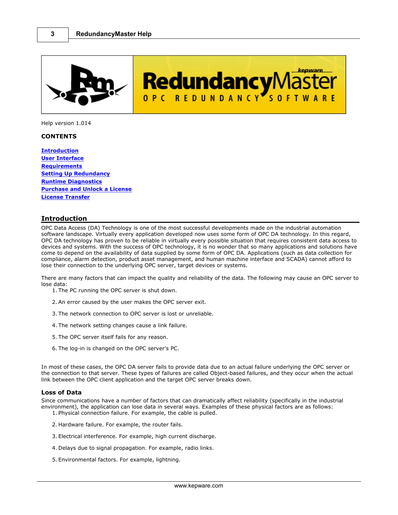<span id="page-3-0"></span>

kepware **RedundancyMast** OPC REDUNDANCY SOFTWA

Help version 1.014

### **CONTENTS**

**[Introduction](#page-3-1) [User Interface](#page-6-0) [Requirements](#page-7-0) [Setting Up Redundancy](#page-9-0) [Runtime Diagnostics](#page-21-1) [Purchase and Unlock a License](#page-26-1) [License Transfer](#page-28-1)**

# <span id="page-3-1"></span>**Introduction**

OPC Data Access (DA) Technology is one of the most successful developments made on the industrial automation software landscape. Virtually every application developed now uses some form of OPC DA technology. In this regard, OPC DA technology has proven to be reliable in virtually every possible situation that requires consistent data access to devices and systems. With the success of OPC technology, it is no wonder that so many applications and solutions have come to depend on the availability of data supplied by some form of OPC DA. Applications (such as data collection for compliance, alarm detection, product asset management, and human machine interface and SCADA) cannot afford to lose their connection to the underlying OPC server, target devices or systems.

There are many factors that can impact the quality and reliability of the data. The following may cause an OPC server to lose data:

- 1. The PC running the OPC server is shut down.
- 2. An error caused by the user makes the OPC server exit.
- 3. The network connection to OPC server is lost or unreliable.
- 4. The network setting changes cause a link failure.
- 5. The OPC server itself fails for any reason.
- 6. The log-in is changed on the OPC server's PC.

In most of these cases, the OPC DA server fails to provide data due to an actual failure underlying the OPC server or the connection to that server. These types of failures are called Object-based failures, and they occur when the actual link between the OPC client application and the target OPC server breaks down.

#### **Loss of Data**

Since communications have a number of factors that can dramatically affect reliability (specifically in the industrial environment), the application can lose data in several ways. Examples of these physical factors are as follows:<br>
1. Physical connection failure. For example, the cable is pulled.<br>
2. Hardware failure. For example, the rout 1. Physical connection failure. For example, the cable is pulled.

- 2. Hardware failure. For example, the router fails.
- 
- 4. Delays due to signal propagation. For example, radio links.
- 5. Environmental factors. For example, lightning.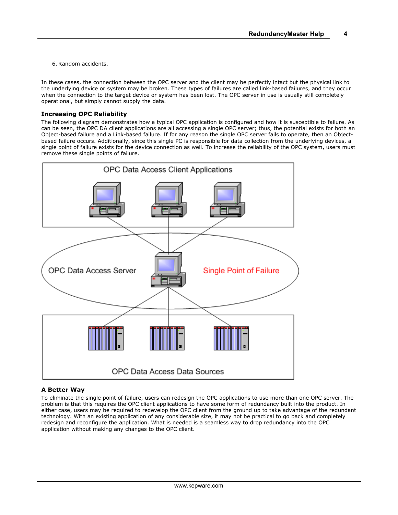**4**

6. Random accidents.

In these cases, the connection between the OPC server and the client may be perfectly intact but the physical link to the underlying device or system may be broken. These types of failures are called link-based failures, and they occur when the connection to the target device or system has been lost. The OPC server in use is usually still completely operational, but simply cannot supply the data.

### **Increasing OPC Reliability**

The following diagram demonstrates how a typical OPC application is configured and how it is susceptible to failure. As can be seen, the OPC DA client applications are all accessing a single OPC server; thus, the potential exists for both an Object-based failure and a Link-based failure. If for any reason the single OPC server fails to operate, then an Objectbased failure occurs. Additionally, since this single PC is responsible for data collection from the underlying devices, a single point of failure exists for the device connection as well. To increase the reliability of the OPC system, users must remove these single points of failure.



# **A Better Way**

To eliminate the single point of failure, users can redesign the OPC applications to use more than one OPC server. The problem is that this requires the OPC client applications to have some form of redundancy built into the product. In either case, users may be required to redevelop the OPC client from the ground up to take advantage of the redundant technology. With an existing application of any considerable size, it may not be practical to go back and completely redesign and reconfigure the application. What is needed is a seamless way to drop redundancy into the OPC application without making any changes to the OPC client.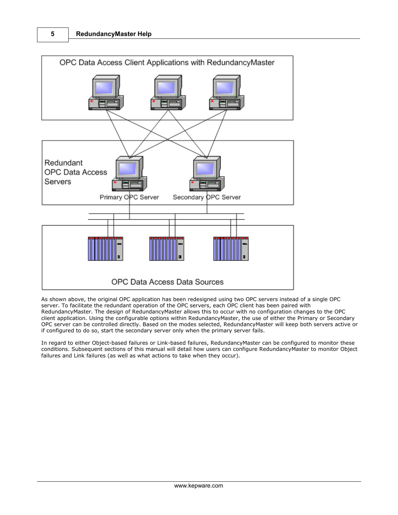

As shown above, the original OPC application has been redesigned using two OPC servers instead of a single OPC server. To facilitate the redundant operation of the OPC servers, each OPC client has been paired with RedundancyMaster. The design of RedundancyMaster allows this to occur with no configuration changes to the OPC client application. Using the configurable options within RedundancyMaster, the use of either the Primary or Secondary OPC server can be controlled directly. Based on the modes selected, RedundancyMaster will keep both servers active or if configured to do so, start the secondary server only when the primary server fails.

In regard to either Object-based failures or Link-based failures, RedundancyMaster can be configured to monitor these conditions. Subsequent sections of this manual will detail how users can configure RedundancyMaster to monitor Object failures and Link failures (as well as what actions to take when they occur).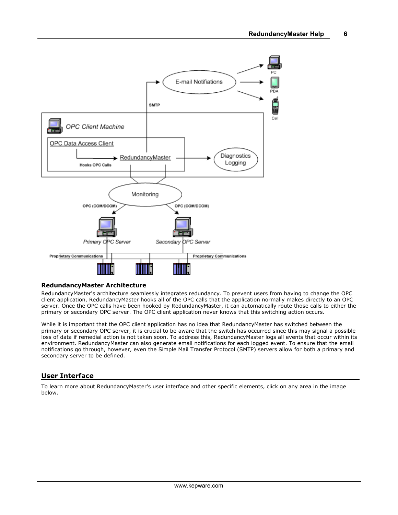

### **RedundancyMaster Architecture**

RedundancyMaster's architecture seamlessly integrates redundancy. To prevent users from having to change the OPC client application, RedundancyMaster hooks all of the OPC calls that the application normally makes directly to an OPC server. Once the OPC calls have been hooked by RedundancyMaster, it can automatically route those calls to either the primary or secondary OPC server. The OPC client application never knows that this switching action occurs.

While it is important that the OPC client application has no idea that RedundancyMaster has switched between the primary or secondary OPC server, it is crucial to be aware that the switch has occurred since this may signal a possible loss of data if remedial action is not taken soon. To address this, RedundancyMaster logs all events that occur within its environment. RedundancyMaster can also generate email notifications for each logged event. To ensure that the email notifications go through, however, even the Simple Mail Transfer Protocol (SMTP) servers allow for both a primary and secondary server to be defined.

# <span id="page-6-0"></span>**User Interface**

To learn more about RedundancyMaster's user interface and other specific elements, click on any area in the image below.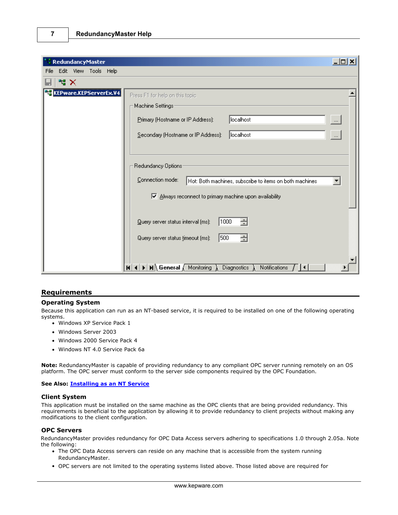| RedundancyMaster                 |                                                                                                      | $ \Box$ $\times$ |  |
|----------------------------------|------------------------------------------------------------------------------------------------------|------------------|--|
| Edit View Tools Help<br>File     |                                                                                                      |                  |  |
| <b>평 ×</b>                       |                                                                                                      |                  |  |
| <b>TC</b> KEPware.KEPServerEx.V4 | Press F1 for help on this topic                                                                      |                  |  |
|                                  | Machine Settings:                                                                                    |                  |  |
|                                  | localhost<br>Primary (Hostname or IP Address):                                                       | $\dots$          |  |
|                                  | localhost<br>Secondary (Hostname or IP Address):                                                     | $\cdots$         |  |
|                                  |                                                                                                      |                  |  |
|                                  | Redundancy Options:                                                                                  |                  |  |
|                                  | Connection mode:<br>Hot: Both machines, subscribe to items on both machines                          |                  |  |
|                                  | M Always reconnect to primary machine upon availability                                              |                  |  |
|                                  | 1000<br>÷<br>Query server status interval (ms):                                                      |                  |  |
|                                  |                                                                                                      |                  |  |
|                                  | ÷<br>500<br>Query server status timeout (ms):                                                        |                  |  |
|                                  | $H$ 4 $\rightarrow$ $H \setminus$ General $\wedge$ Monitoring<br><b>Diagnostics</b><br>Notifications |                  |  |

# <span id="page-7-0"></span>**Requirements**

### **Operating System**

Because this application can run as an NT-based service, it is required to be installed on one of the following operating systems.

- Windows XP Service Pack 1
- Windows Server 2003
- Windows 2000 Service Pack 4
- Windows NT 4.0 Service Pack 6a

**Note:** RedundancyMaster is capable of providing redundancy to any compliant OPC server running remotely on an OS platform. The OPC server must conform to the server side components required by the OPC Foundation.

#### **See Also: [Installing as an NT Service](#page-8-0)**

#### **Client System**

This application must be installed on the same machine as the OPC clients that are being provided redundancy. This requirements is beneficial to the application by allowing it to provide redundancy to client projects without making any modifications to the client configuration.

### **OPC Servers**

RedundancyMaster provides redundancy for OPC Data Access servers adhering to specifications 1.0 through 2.05a. Note the following:

- The OPC Data Access servers can reside on any machine that is accessible from the system running RedundancyMaster.
- OPC servers are not limited to the operating systems listed above. Those listed above are required for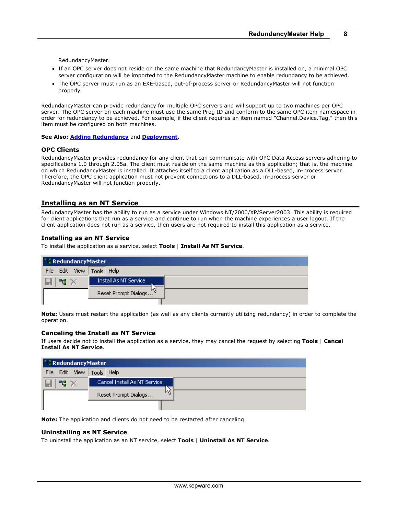**8**

RedundancyMaster.

- If an OPC server does not reside on the same machine that RedundancyMaster is installed on, a minimal OPC server configuration will be imported to the RedundancyMaster machine to enable redundancy to be achieved.
- The OPC server must run as an EXE-based, out-of-process server or RedundancyMaster will not function properly.

RedundancyMaster can provide redundancy for multiple OPC servers and will support up to two machines per OPC server. The OPC server on each machine must use the same Prog ID and conform to the same OPC item namespace in order for redundancy to be achieved. For example, if the client requires an item named "Channel.Device.Tag," then this item must be configured on both machines.

**See Also: [Adding Redundancy](#page-9-0)** and **[Deployment](#page-21-0)**.

#### **OPC Clients**

RedundancyMaster provides redundancy for any client that can communicate with OPC Data Access servers adhering to specifications 1.0 through 2.05a. The client must reside on the same machine as this application; that is, the machine on which RedundancyMaster is installed. It attaches itself to a client application as a DLL-based, in-process server. Therefore, the OPC client application must not prevent connections to a DLL-based, in-process server or RedundancyMaster will not function properly.

# <span id="page-8-0"></span>**Installing as an NT Service**

RedundancyMaster has the ability to run as a service under Windows NT/2000/XP/Server2003. This ability is required for client applications that run as a service and continue to run when the machine experiences a user logout. If the client application does not run as a service, then users are not required to install this application as a service.

#### **Installing as an NT Service**

To install the application as a service, select **Tools** | **Install As NT Service**.

|      | <b>RedundancyMaster</b> |                       |                                    |  |  |
|------|-------------------------|-----------------------|------------------------------------|--|--|
| File |                         | Edit View             | Tools Help                         |  |  |
|      |                         | Install As NT Service |                                    |  |  |
|      |                         |                       | Reset Prompt Dialogs <sup>10</sup> |  |  |
|      |                         |                       |                                    |  |  |

**Note:** Users must restart the application (as well as any clients currently utilizing redundancy) in order to complete the operation.

#### **Canceling the Install as NT Service**

If users decide not to install the application as a service, they may cancel the request by selecting **Tools** | **Cancel Install As NT Service**.

|                      | <b><i>NedundancyMaster</i></b> |  |  |  |  |
|----------------------|--------------------------------|--|--|--|--|
| View<br>File<br>Edit | Tools Help                     |  |  |  |  |
|                      | Cancel Install As NT Service   |  |  |  |  |
|                      | μç<br>Reset Prompt Dialogs     |  |  |  |  |
|                      |                                |  |  |  |  |

**Note:** The application and clients do not need to be restarted after canceling.

#### **Uninstalling as NT Service**

To uninstall the application as an NT service, select **Tools** | **Uninstall As NT Service**.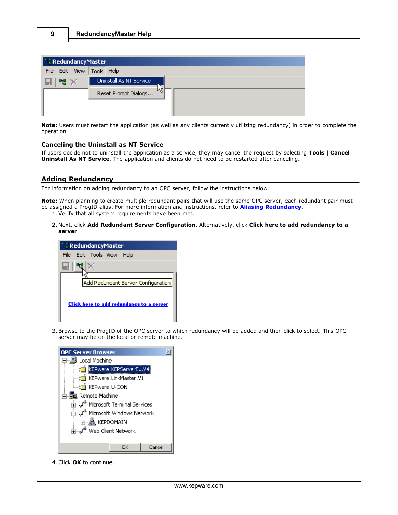| " : RedundancyMaster |                         |  |  |  |  |
|----------------------|-------------------------|--|--|--|--|
| Edit View<br>File    | Tools Help              |  |  |  |  |
| 막말                   | Uninstall As NT Service |  |  |  |  |
|                      | Reset Prompt Dialogs    |  |  |  |  |

**Note:** Users must restart the application (as well as any clients currently utilizing redundancy) in order to complete the operation.

### **Canceling the Uninstall as NT Service**

If users decide not to uninstall the application as a service, they may cancel the request by selecting **Tools** | **Cancel Uninstall As NT Service**. The application and clients do not need to be restarted after canceling.

# <span id="page-9-0"></span>**Adding Redundancy**

For information on adding redundancy to an OPC server, follow the instructions below.

**Note:** When planning to create multiple redundant pairs that will use the same OPC server, each redundant pair must be assigned a ProgID alias. For more information and instructions, refer to **[Aliasing Redundancy](#page-10-0)**. 1. Verify that all system requirements have been met.

- 
- 2. Next, click **Add Redundant Server Configuration**. Alternatively, click **Click here to add redundancy to a server**.

| " : RedundancyMaster                                                           |  |  |  |
|--------------------------------------------------------------------------------|--|--|--|
| Edit Tools View<br>File<br>– Help                                              |  |  |  |
|                                                                                |  |  |  |
| Add Redundant Server Configuration<br>Click here to add redundancy to a server |  |  |  |

3. Browse to the ProgID of the OPC server to which redundancy will be added and then click to select. This OPC server may be on the local or remote machine.

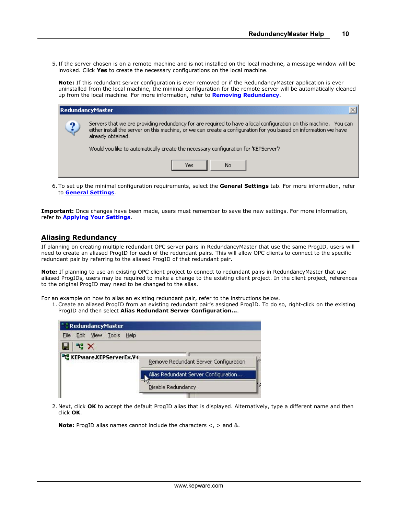5. If the server chosen is on a remote machine and is not installed on the local machine, a message window will be invoked. Click **Yes** to create the necessary configurations on the local machine.

**Note:** If this redundant server configuration is ever removed or if the RedundancyMaster application is ever uninstalled from the local machine, the minimal configuration for the remote server will be automatically cleaned up from the local machine. For more information, refer to **[Removing Redundancy](#page-20-0)**.

| RedundancyMaster |                                                                                                                                                                                                                                                           |  |  |  |  |
|------------------|-----------------------------------------------------------------------------------------------------------------------------------------------------------------------------------------------------------------------------------------------------------|--|--|--|--|
| ച                | Servers that we are providing redundancy for are required to have a local configuration on this machine. You can<br>either install the server on this machine, or we can create a configuration for you based on information we have<br>already obtained. |  |  |  |  |
|                  | Would you like to automatically create the necessary configuration for 'KEPServer'?                                                                                                                                                                       |  |  |  |  |
|                  | No.<br>Yes                                                                                                                                                                                                                                                |  |  |  |  |

6. To set up the minimal configuration requirements, select the **General Settings** tab. For more information, refer to **[General Settings](#page-12-0)**.

**Important:** Once changes have been made, users must remember to save the new settings. For more information, refer to **[Applying Your Settings](#page-19-0)**.

# <span id="page-10-0"></span>**Aliasing Redundancy**

If planning on creating multiple redundant OPC server pairs in RedundancyMaster that use the same ProgID, users will need to create an aliased ProgID for each of the redundant pairs. This will allow OPC clients to connect to the specific redundant pair by referring to the aliased ProgID of that redundant pair.

**Note:** If planning to use an existing OPC client project to connect to redundant pairs in RedundancyMaster that use aliased ProgIDs*,* users may be required to make a change to the existing client project. In the client project, references to the original ProgID may need to be changed to the alias.

For an example on how to alias an existing redundant pair, refer to the instructions below.

1. Create an aliased ProgID from an existing redundant pair's assigned ProgID. To do so, right-click on the existing ProgID and then select **Alias Redundant Server Configuration...**.

| <b>RedundancyMaster</b>             |                                       |
|-------------------------------------|---------------------------------------|
| Edit View Tools Help<br><b>File</b> |                                       |
| 門 X<br>н                            |                                       |
| <b>THE</b> KEPware.KEPServerEx.V4   | Remove Redundant Server Configuration |
|                                     | Alias Redundant Server Configuration  |
|                                     | Disable Redundancy                    |
|                                     |                                       |

2. Next, click **OK** to accept the default ProgID alias that is displayed. Alternatively, type a different name and then click **OK**.

**Note:** ProgID alias names cannot include the characters <, > and &.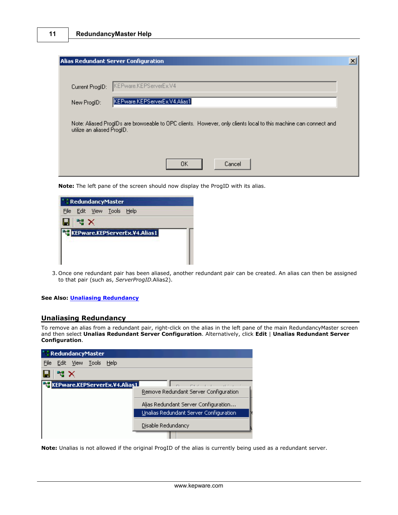|             |                            | Alias Redundant Server Configuration                                                                             |  |
|-------------|----------------------------|------------------------------------------------------------------------------------------------------------------|--|
|             |                            | KEPware.KEPServerEx.V4                                                                                           |  |
|             | Current ProgID:            | KEPware.KEPServerEx.V4.Alias1                                                                                    |  |
| New ProgID: |                            |                                                                                                                  |  |
|             | utilize an aliased ProgID. | Note: Aliased ProgIDs are browseable to OPC clients. However, only clients local to this machine can connect and |  |
|             |                            |                                                                                                                  |  |
|             |                            | OΚ<br>Cancel                                                                                                     |  |

**Note:** The left pane of the screen should now display the ProgID with its alias.



3. Once one redundant pair has been aliased, another redundant pair can be created. An alias can then be assigned to that pair (such as, *ServerProgID*.Alias2).

#### **See Also: [Unaliasing Redundancy](#page-11-0)**

### <span id="page-11-0"></span>**Unaliasing Redundancy**

To remove an alias from a redundant pair, right-click on the alias in the left pane of the main RedundancyMaster screen and then select **Unalias Redundant Server Configuration**. Alternatively, click **Edit** | **Unalias Redundant Server Configuration**.



**Note:** Unalias is not allowed if the original ProgID of the alias is currently being used as a redundant server.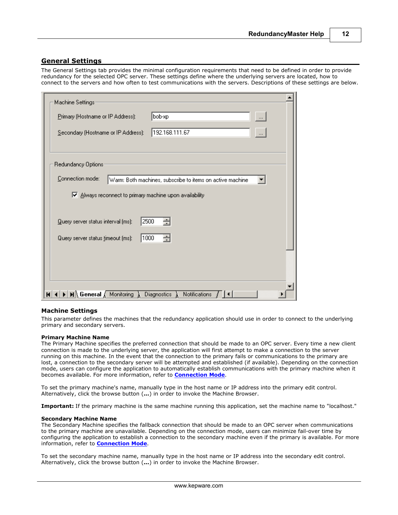# <span id="page-12-0"></span>**General Settings**

The General Settings tab provides the minimal configuration requirements that need to be defined in order to provide redundancy for the selected OPC server. These settings define where the underlying servers are located, how to connect to the servers and how often to test communications with the servers. Descriptions of these settings are below.

| Machine Settings:                                                           |                                                           |
|-----------------------------------------------------------------------------|-----------------------------------------------------------|
| Primary (Hostname or IP Address):                                           | bob-xp<br>$\cdots$                                        |
| Secondary (Hostname or IP Address):                                         | 192.168.111.67<br>$\dots$                                 |
| Redundancy Options:                                                         |                                                           |
| Connection mode:<br>M Always reconnect to primary machine upon availability | Warm: Both machines, subscribe to items on active machine |
| 2500<br>Query server status interval (ms):                                  | ÷                                                         |
| 1000<br>Query server status timeout (ms):                                   | ÷                                                         |
|                                                                             |                                                           |
|                                                                             |                                                           |
| $\mathbf{H} \setminus \mathbf{General} \setminus \mathbf{Monitoring}$<br>к  | <b>Notifications</b><br>Diagnostics                       |

### **Machine Settings**

This parameter defines the machines that the redundancy application should use in order to connect to the underlying primary and secondary servers.

#### **Primary Machine Name**

The Primary Machine specifies the preferred connection that should be made to an OPC server. Every time a new client connection is made to the underlying server, the application will first attempt to make a connection to the server running on this machine. In the event that the connection to the primary fails or communications to the primary are lost, a connection to the secondary server will be attempted and established (if available). Depending on the connection mode, users can configure the application to automatically establish communications with the primary machine when it becomes available. For more information, refer to **[Connection Mode](#page-13-0)**.

To set the primary machine's name, manually type in the host name or IP address into the primary edit control. Alternatively, click the browse button (**...**) in order to invoke the Machine Browser.

**Important:** If the primary machine is the same machine running this application, set the machine name to "localhost."

#### **Secondary Machine Name**

The Secondary Machine specifies the fallback connection that should be made to an OPC server when communications to the primary machine are unavailable. Depending on the connection mode, users can minimize fail-over time by configuring the application to establish a connection to the secondary machine even if the primary is available. For more information, refer to **[Connection Mode](#page-13-0)**.

To set the secondary machine name, manually type in the host name or IP address into the secondary edit control. Alternatively, click the browse button (**...**) in order to invoke the Machine Browser.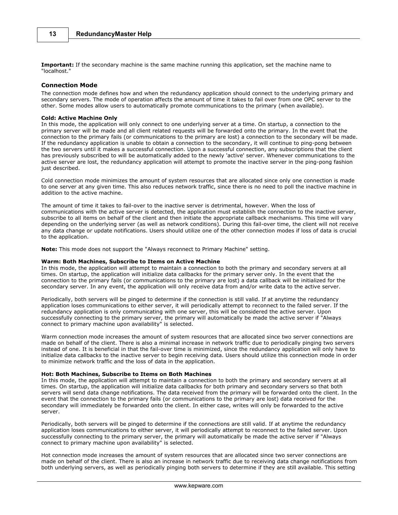**Important:** If the secondary machine is the same machine running this application, set the machine name to "localhost."

#### <span id="page-13-0"></span>**Connection Mode**

The connection mode defines how and when the redundancy application should connect to the underlying primary and secondary servers. The mode of operation affects the amount of time it takes to fail over from one OPC server to the other. Some modes allow users to automatically promote communications to the primary (when available).

#### **Cold: Active Machine Only**

In this mode, the application will only connect to one underlying server at a time. On startup, a connection to the primary server will be made and all client related requests will be forwarded onto the primary. In the event that the connection to the primary fails (or communications to the primary are lost) a connection to the secondary will be made. If the redundancy application is unable to obtain a connection to the secondary, it will continue to ping-pong between the two servers until it makes a successful connection. Upon a successful connection, any subscriptions that the client has previously subscribed to will be automatically added to the newly 'active' server. Whenever communications to the active server are lost, the redundancy application will attempt to promote the inactive server in the ping-pong fashion just described.

Cold connection mode minimizes the amount of system resources that are allocated since only one connection is made to one server at any given time. This also reduces network traffic, since there is no need to poll the inactive machine in addition to the active machine.

The amount of time it takes to fail-over to the inactive server is detrimental, however. When the loss of communications with the active server is detected, the application must establish the connection to the inactive server, subscribe to all items on behalf of the client and then initiate the appropriate callback mechanisms. This time will vary depending on the underlying server (as well as network conditions). During this fail-over time, the client will not receive any data change or update notifications. Users should utilize one of the other connection modes if loss of data is crucial to the application.

**Note:** This mode does not support the "Always reconnect to Primary Machine" setting.

#### **Warm: Both Machines, Subscribe to Items on Active Machine**

In this mode, the application will attempt to maintain a connection to both the primary and secondary servers at all times. On startup, the application will initialize data callbacks for the primary server only. In the event that the connection to the primary fails (or communications to the primary are lost) a data callback will be initialized for the secondary server. In any event, the application will only receive data from and/or write data to the active server.

Periodically, both servers will be pinged to determine if the connection is still valid. If at anytime the redundancy application loses communications to either server, it will periodically attempt to reconnect to the failed server. If the redundancy application is only communicating with one server, this will be considered the active server. Upon successfully connecting to the primary server, the primary will automatically be made the active server if "Always connect to primary machine upon availability" is selected.

Warm connection mode increases the amount of system resources that are allocated since two server connections are made on behalf of the client. There is also a minimal increase in network traffic due to periodically pinging two servers instead of one. It is beneficial in that the fail-over time is minimized, since the redundancy application will only have to initialize data callbacks to the inactive server to begin receiving data. Users should utilize this connection mode in order to minimize network traffic and the loss of data in the application.

#### **Hot: Both Machines, Subscribe to Items on Both Machines**

In this mode, the application will attempt to maintain a connection to both the primary and secondary servers at all times. On startup, the application will initialize data callbacks for both primary and secondary servers so that both servers will send data change notifications. The data received from the primary will be forwarded onto the client. In the event that the connection to the primary fails (or communications to the primary are lost) data received for the secondary will immediately be forwarded onto the client. In either case, writes will only be forwarded to the active server.

Periodically, both servers will be pinged to determine if the connections are still valid. If at anytime the redundancy application loses communications to either server, it will periodically attempt to reconnect to the failed server. Upon successfully connecting to the primary server, the primary will automatically be made the active server if "Always connect to primary machine upon availability" is selected.

Hot connection mode increases the amount of system resources that are allocated since two server connections are made on behalf of the client. There is also an increase in network traffic due to receiving data change notifications from both underlying servers, as well as periodically pinging both servers to determine if they are still available. This setting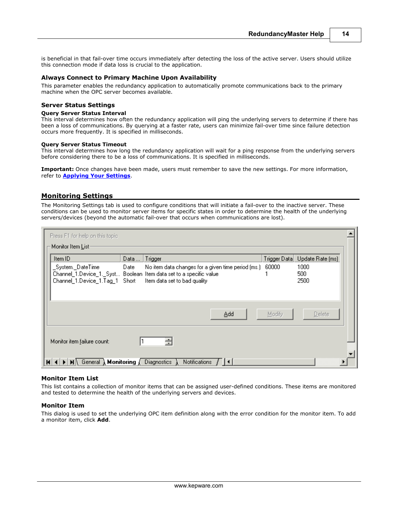is beneficial in that fail-over time occurs immediately after detecting the loss of the active server. Users should utilize this connection mode if data loss is crucial to the application.

#### **Always Connect to Primary Machine Upon Availability**

This parameter enables the redundancy application to automatically promote communications back to the primary machine when the OPC server becomes available.

#### **Server Status Settings**

#### **Query Server Status Interval**

This interval determines how often the redundancy application will ping the underlying servers to determine if there has been a loss of communications. By querying at a faster rate, users can minimize fail-over time since failure detection occurs more frequently. It is specified in milliseconds.

#### **Query Server Status Timeout**

This interval determines how long the redundancy application will wait for a ping response from the underlying servers before considering there to be a loss of communications. It is specified in milliseconds.

**Important:** Once changes have been made, users must remember to save the new settings. For more information, refer to **[Applying Your Settings](#page-19-0)**.

### <span id="page-14-0"></span>**Monitoring Settings**

The Monitoring Settings tab is used to configure conditions that will initiate a fail-over to the inactive server. These conditions can be used to monitor server items for specific states in order to determine the health of the underlying servers/devices (beyond the automatic fail-over that occurs when communications are lost).

| Press F1 for help on this topic                                                                                                                                                                                                                         |  |
|---------------------------------------------------------------------------------------------------------------------------------------------------------------------------------------------------------------------------------------------------------|--|
| Monitor Item <u>L</u> ist-                                                                                                                                                                                                                              |  |
| Trigger<br>Trigger Data<br>Update Rate [ms]<br>Item ID<br>Data                                                                                                                                                                                          |  |
| 60000<br>_System._DateTime<br>No item data changes for a given time period (ms.)<br>1000<br>Date<br>Channel_1.Device_1._Syst Boolean Item data set to a specific value<br>500<br>2500<br>Channel_1.Device_1.Tag_1 Short<br>Item data set to bad quality |  |
| Add<br>Delete<br>Modify                                                                                                                                                                                                                                 |  |
| ÷<br>Monitor item failure count:                                                                                                                                                                                                                        |  |
| $\blacktriangleright$   M $\land$ General $\lambda$ Monitoring $\lambda$<br><b>Diagnostics</b><br><b>Notifications</b><br>H                                                                                                                             |  |

#### **Monitor Item List**

This list contains a collection of monitor items that can be assigned user-defined conditions. These items are monitored and tested to determine the health of the underlying servers and devices.

#### **Monitor Item**

This dialog is used to set the underlying OPC item definition along with the error condition for the monitor item. To add a monitor item, click **Add**.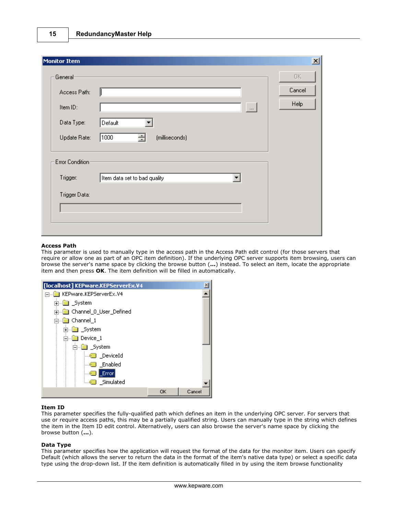| Monitor Item     |                              | $\mathbf{x}$ |
|------------------|------------------------------|--------------|
| General-         |                              | OK.          |
| Access Path:     |                              | Cancel       |
| Item ID:         | $\sim$                       | Help         |
| Data Type:       | Default<br>▼                 |              |
| Update Rate:     | 클<br>1000<br>(milliseconds)  |              |
| Error Condition- |                              |              |
| Trigger:         | Item data set to bad quality |              |
| Trigger Data:    |                              |              |
|                  |                              |              |
|                  |                              |              |

#### **Access Path**

This parameter is used to manually type in the access path in the Access Path edit control (for those servers that require or allow one as part of an OPC item definition). If the underlying OPC server supports item browsing, users can browse the server's name space by clicking the browse button (**...**) instead. To select an item, locate the appropriate item and then press **OK**. The item definition will be filled in automatically.

| [localhost] KEPware.KEPServerEx.V4 |    | $\times$ |
|------------------------------------|----|----------|
| Fille KEPware.KEPServerEx.V4       |    |          |
| 由…■ _System                        |    |          |
|                                    |    |          |
| 白…■ Channel_1                      |    |          |
| 中 ■ System                         |    |          |
| 白…■ Device 1                       |    |          |
| ⊟… _System                         |    |          |
| DeviceId                           |    |          |
| <b>Solution</b> Enabled            |    |          |
| _Error <br>10000                   |    |          |
| illing Simulated                   |    |          |
|                                    | ОΚ | Cancel   |

### **Item ID**

This parameter specifies the fully-qualified path which defines an item in the underlying OPC server. For servers that use or require access paths, this may be a partially qualified string. Users can manually type in the string which defines the item in the Item ID edit control. Alternatively, users can also browse the server's name space by clicking the browse button (**...**).

# **Data Type**

This parameter specifies how the application will request the format of the data for the monitor item. Users can specify Default (which allows the server to return the data in the format of the item's native data type) or select a specific data type using the drop-down list. If the item definition is automatically filled in by using the item browse functionality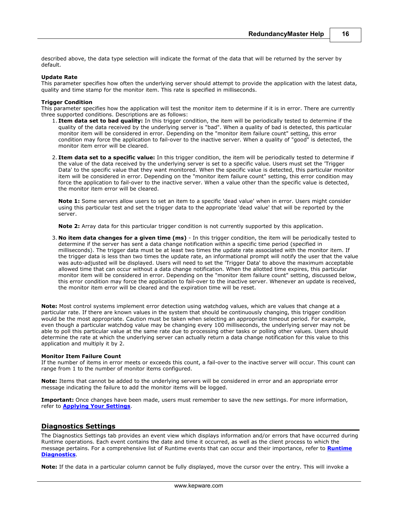described above, the data type selection will indicate the format of the data that will be returned by the server by default.

#### **Update Rate**

This parameter specifies how often the underlying server should attempt to provide the application with the latest data, quality and time stamp for the monitor item. This rate is specified in milliseconds.

#### **Trigger Condition**

This parameter specifies how the application will test the monitor item to determine if it is in error. There are currently three supported conditions. Descriptions are as follows:

- 1. **Item data set to bad quality:** In this trigger condition, the item will be periodically tested to determine if the quality of the data received by the underlying server is "bad". When a quality of bad is detected, this particular monitor item will be considered in error. Depending on the "monitor item failure count" setting, this error condition may force the application to fail-over to the inactive server. When a quality of "good" is detected, the monitor item error will be cleared.
- 2. **Item data set to a specific value:** In this trigger condition, the item will be periodically tested to determine if the value of the data received by the underlying server is set to a specific value. Users must set the 'Trigger Data' to the specific value that they want monitored. When the specific value is detected, this particular monitor item will be considered in error. Depending on the "monitor item failure count" setting, this error condition may force the application to fail-over to the inactive server. When a value other than the specific value is detected, the monitor item error will be cleared.

**Note 1:** Some servers allow users to set an item to a specific 'dead value' when in error. Users might consider using this particular test and set the trigger data to the appropriate 'dead value' that will be reported by the server.

**Note 2:** Array data for this particular trigger condition is not currently supported by this application.

3. **No item data changes for a given time (ms)** - In this trigger condition, the item will be periodically tested to determine if the server has sent a data change notification within a specific time period (specified in milliseconds). The trigger data must be at least two times the update rate associated with the monitor item. If the trigger data is less than two times the update rate, an informational prompt will notify the user that the value was auto-adjusted will be displayed. Users will need to set the 'Trigger Data' to above the maximum acceptable allowed time that can occur without a data change notification. When the allotted time expires, this particular monitor item will be considered in error. Depending on the "monitor item failure count" setting, discussed below, this error condition may force the application to fail-over to the inactive server. Whenever an update is received, the monitor item error will be cleared and the expiration time will be reset.

**Note:** Most control systems implement error detection using watchdog values, which are values that change at a particular rate. If there are known values in the system that should be continuously changing, this trigger condition would be the most appropriate. Caution must be taken when selecting an appropriate timeout period. For example, even though a particular watchdog value may be changing every 100 milliseconds, the underlying server may not be able to poll this particular value at the same rate due to processing other tasks or polling other values. Users should determine the rate at which the underlying server can actually return a data change notification for this value to this application and multiply it by 2.

#### **Monitor Item Failure Count**

If the number of items in error meets or exceeds this count, a fail-over to the inactive server will occur. This count can range from 1 to the number of monitor items configured.

**Note:** Items that cannot be added to the underlying servers will be considered in error and an appropriate error message indicating the failure to add the monitor items will be logged.

**Important:** Once changes have been made, users must remember to save the new settings. For more information, refer to **[Applying Your Settings](#page-19-0)**.

### <span id="page-16-0"></span>**Diagnostics Settings**

The Diagnostics Settings tab provides an event view which displays information and/or errors that have occurred during Runtime operations. Each event contains the date and time it occurred, as well as the client process to which the message pertains. For a comprehensive list of Runtime events that can occur and their importance, refer to **[Runtime](#page-21-1) [Diagnostics](#page-21-1)**.

**Note:** If the data in a particular column cannot be fully displayed, move the cursor over the entry. This will invoke a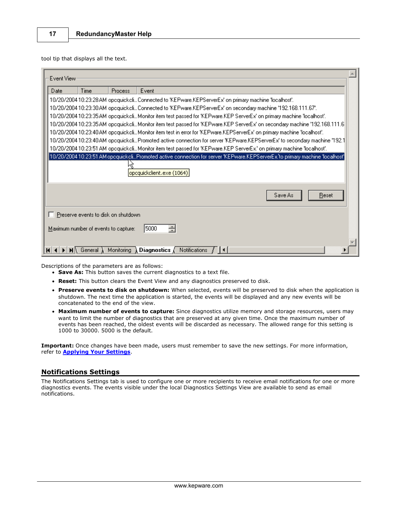tool tip that displays all the text.

|    | Event View                                                                                                                                                 |                                     |            |                                                                                                                          |  |  |  |
|----|------------------------------------------------------------------------------------------------------------------------------------------------------------|-------------------------------------|------------|--------------------------------------------------------------------------------------------------------------------------|--|--|--|
|    | Date                                                                                                                                                       | Time                                | Process    | Event                                                                                                                    |  |  |  |
|    |                                                                                                                                                            |                                     |            | .10/20/2004 10:23:28 AM opequickeli Connected to 'KEPware.KEPServerEx' on primary machine 'localhost'.                   |  |  |  |
|    |                                                                                                                                                            |                                     |            | 10/20/2004 10:23:30 AM opequickeli Connected to 'KEPware.KEPServerEx' on secondary machine '192.168.111.67'.             |  |  |  |
|    |                                                                                                                                                            |                                     |            | 10/20/200410:23:35AM opequickeliMonitor item test passed for 'KEPware.KEP ServerEx' on primary machine 'localhost'.      |  |  |  |
|    | 10/20/200410:23:35AM opequickeliMonitor item test passed for 'KEPware.KEP ServerEx' on secondary machine '192.168.111.6                                    |                                     |            |                                                                                                                          |  |  |  |
|    |                                                                                                                                                            |                                     |            | 10/20/200410:23:40AM opequickeliMonitor item test in error for "KEPware.KEPServerEx" on primary machine "localhost".     |  |  |  |
|    |                                                                                                                                                            |                                     |            | 10/20/200410:23:40AM opequickeliPromoted active connection for server "KEPware.KEPServerEx' to secondary machine "192.1" |  |  |  |
|    |                                                                                                                                                            |                                     |            | 10/20/200410:23:51 AM opequickeli Monitor item test passed for 'KEPware.KEP ServerEx.' on primary machine 'localhost'.   |  |  |  |
|    | 10/20/2004 10:23:51 AM opcquickcli…Promoted active connection for server 'KEPware.KEPServerEx.'to primary machine 'localhost'<br>opcquickclient.exe (1064) |                                     |            |                                                                                                                          |  |  |  |
|    | Save As<br>Reset                                                                                                                                           |                                     |            |                                                                                                                          |  |  |  |
|    |                                                                                                                                                            | Preserve events to disk on shutdown |            |                                                                                                                          |  |  |  |
|    | ÷<br>5000<br>Maximum number of events to capture:                                                                                                          |                                     |            |                                                                                                                          |  |  |  |
| КI |                                                                                                                                                            | General )                           | Monitoring | <b>Diagnostics</b> $\sqrt{\phantom{a}}$ Notifications<br>$\overline{\mathbf{1}}$                                         |  |  |  |

Descriptions of the parameters are as follows:

- **Save As:** This button saves the current diagnostics to a text file.
- **Reset:** This button clears the Event View and any diagnostics preserved to disk.
- **Preserve events to disk on shutdown:** When selected, events will be preserved to disk when the application is shutdown. The next time the application is started, the events will be displayed and any new events will be concatenated to the end of the view.
- **Maximum number of events to capture:** Since diagnostics utilize memory and storage resources, users may want to limit the number of diagnostics that are preserved at any given time. Once the maximum number of events has been reached, the oldest events will be discarded as necessary. The allowed range for this setting is 1000 to 30000. 5000 is the default.

**Important:** Once changes have been made, users must remember to save the new settings. For more information, refer to **[Applying Your Settings](#page-19-0)**.

# <span id="page-17-0"></span>**Notifications Settings**

The Notifications Settings tab is used to configure one or more recipients to receive email notifications for one or more diagnostics events. The events visible under the local Diagnostics Settings View are available to send as email notifications.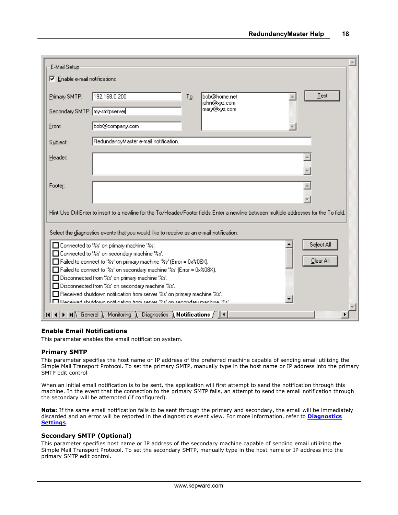| E-Mail Setup                                                               |                                                                                                                                                                                                                   |  |  |  |  |  |  |  |  |
|----------------------------------------------------------------------------|-------------------------------------------------------------------------------------------------------------------------------------------------------------------------------------------------------------------|--|--|--|--|--|--|--|--|
| Enable e-mail notifications                                                |                                                                                                                                                                                                                   |  |  |  |  |  |  |  |  |
|                                                                            |                                                                                                                                                                                                                   |  |  |  |  |  |  |  |  |
| Primary SMTP:                                                              | 192.168.0.200<br>Test<br>bob@home.net<br>To:                                                                                                                                                                      |  |  |  |  |  |  |  |  |
| Secondary SMTP: my-smtpserver                                              | john@xyz.com<br>mary@xyz.com                                                                                                                                                                                      |  |  |  |  |  |  |  |  |
|                                                                            |                                                                                                                                                                                                                   |  |  |  |  |  |  |  |  |
| From:                                                                      | bob@company.com                                                                                                                                                                                                   |  |  |  |  |  |  |  |  |
| Subject:                                                                   | RedundancyMaster e-mail notification.                                                                                                                                                                             |  |  |  |  |  |  |  |  |
|                                                                            |                                                                                                                                                                                                                   |  |  |  |  |  |  |  |  |
| Header:                                                                    |                                                                                                                                                                                                                   |  |  |  |  |  |  |  |  |
|                                                                            |                                                                                                                                                                                                                   |  |  |  |  |  |  |  |  |
|                                                                            |                                                                                                                                                                                                                   |  |  |  |  |  |  |  |  |
| Footer:                                                                    |                                                                                                                                                                                                                   |  |  |  |  |  |  |  |  |
|                                                                            |                                                                                                                                                                                                                   |  |  |  |  |  |  |  |  |
|                                                                            | Hint: Use Ctrl-Enter to insert to a newline for the To/Header/Footer fields. Enter a newline between multiple addresses for the To field.                                                                         |  |  |  |  |  |  |  |  |
|                                                                            |                                                                                                                                                                                                                   |  |  |  |  |  |  |  |  |
|                                                                            | Select the diagnostics events that you would like to receive as an e-mail notification:                                                                                                                           |  |  |  |  |  |  |  |  |
|                                                                            |                                                                                                                                                                                                                   |  |  |  |  |  |  |  |  |
|                                                                            | Select All<br>□ Connected to '%s' on primary machine '%s'.                                                                                                                                                        |  |  |  |  |  |  |  |  |
|                                                                            | □ Connected to '%s' on secondary machine '%s'.<br>Clear All<br>□ Failed to connect to '%s' on primary machine '%s' (Error = 0x%08X).                                                                              |  |  |  |  |  |  |  |  |
|                                                                            | Failed to connect to '%s' on secondary machine '%s' (Error = 0x%08X).                                                                                                                                             |  |  |  |  |  |  |  |  |
|                                                                            | Disconnected from '%s' on primary machine '%s'.                                                                                                                                                                   |  |  |  |  |  |  |  |  |
| Disconnected from '%s' on secondary machine '%s'.                          |                                                                                                                                                                                                                   |  |  |  |  |  |  |  |  |
| □ Received shutdown notification from server '%s' on primary machine '%s'. |                                                                                                                                                                                                                   |  |  |  |  |  |  |  |  |
|                                                                            | E Received shutdown potification from server "%" on secondary machine "%"                                                                                                                                         |  |  |  |  |  |  |  |  |
| н                                                                          | Diagnostics $\lambda$ Notifications $\sqrt{\vert 4\vert}$<br>$\blacktriangleright$   $\blacktriangleright$   $\blacktriangleright$   $\blacktriangleright$   $\blacktriangleright$   General $\lambda$ Monitoring |  |  |  |  |  |  |  |  |

### **Enable Email Notifications**

This parameter enables the email notification system.

#### **Primary SMTP**

This parameter specifies the host name or IP address of the preferred machine capable of sending email utilizing the Simple Mail Transport Protocol. To set the primary SMTP, manually type in the host name or IP address into the primary SMTP edit control

When an initial email notification is to be sent, the application will first attempt to send the notification through this machine. In the event that the connection to the primary SMTP fails, an attempt to send the email notification through the secondary will be attempted (if configured).

**Note:** If the same email notification fails to be sent through the primary and secondary, the email will be immediately discarded and an error will be reported in the diagnostics event view. For more information, refer to **[Diagnostics](#page-16-0) [Settings](#page-16-0)**.

#### **Secondary SMTP (Optional)**

This parameter specifies host name or IP address of the secondary machine capable of sending email utilizing the Simple Mail Transport Protocol. To set the secondary SMTP, manually type in the host name or IP address into the primary SMTP edit control.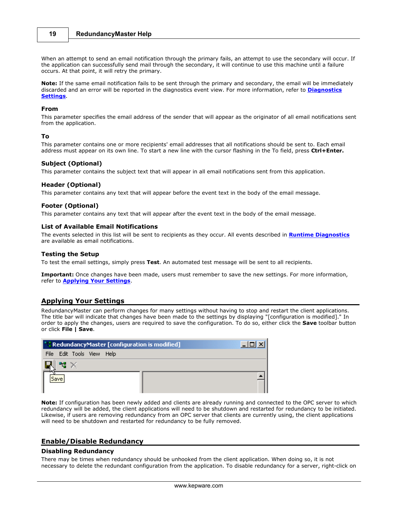When an attempt to send an email notification through the primary fails, an attempt to use the secondary will occur. If the application can successfully send mail through the secondary, it will continue to use this machine until a failure occurs. At that point, it will retry the primary.

**Note:** If the same email notification fails to be sent through the primary and secondary, the email will be immediately discarded and an error will be reported in the diagnostics event view. For more information, refer to **[Diagnostics](#page-16-0) [Settings](#page-16-0)**.

#### **From**

This parameter specifies the email address of the sender that will appear as the originator of all email notifications sent from the application.

#### **To**

This parameter contains one or more recipients' email addresses that all notifications should be sent to. Each email address must appear on its own line. To start a new line with the cursor flashing in the To field, press **Ctrl+Enter.**

#### **Subject (Optional)**

This parameter contains the subject text that will appear in all email notifications sent from this application.

#### **Header (Optional)**

This parameter contains any text that will appear before the event text in the body of the email message.

#### **Footer (Optional)**

This parameter contains any text that will appear after the event text in the body of the email message.

#### **List of Available Email Notifications**

The events selected in this list will be sent to recipients as they occur. All events described in **[Runtime Diagnostics](#page-21-1)** are available as email notifications.

#### **Testing the Setup**

To test the email settings, simply press **Test**. An automated test message will be sent to all recipients.

**Important:** Once changes have been made, users must remember to save the new settings. For more information, refer to **[Applying Your Settings](#page-19-0)**.

### <span id="page-19-0"></span>**Applying Your Settings**

RedundancyMaster can perform changes for many settings without having to stop and restart the client applications. The title bar will indicate that changes have been made to the settings by displaying "[configuration is modified]." In order to apply the changes, users are required to save the configuration. To do so, either click the **Save** toolbar button or click **File | Save**.

|                           | $\mid$ " RedundancyMaster [configuration is modified] |  |  |  |  |  |  |
|---------------------------|-------------------------------------------------------|--|--|--|--|--|--|
| File Edit Tools View Help |                                                       |  |  |  |  |  |  |
|                           |                                                       |  |  |  |  |  |  |
|                           |                                                       |  |  |  |  |  |  |

**Note:** If configuration has been newly added and clients are already running and connected to the OPC server to which redundancy will be added, the client applications will need to be shutdown and restarted for redundancy to be initiated. Likewise, if users are removing redundancy from an OPC server that clients are currently using, the client applications will need to be shutdown and restarted for redundancy to be fully removed.

# <span id="page-19-1"></span>**Enable/Disable Redundancy**

#### **Disabling Redundancy**

There may be times when redundancy should be unhooked from the client application. When doing so, it is not necessary to delete the redundant configuration from the application. To disable redundancy for a server, right-click on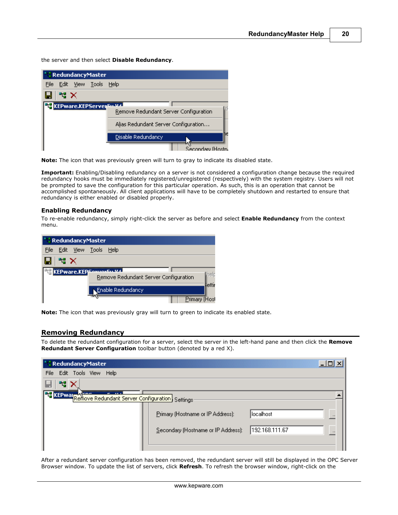the server and then select **Disable Redundancy**.

|                                   | * * RedundancyMaster |  |                                       |  |  |  |
|-----------------------------------|----------------------|--|---------------------------------------|--|--|--|
| File Edit View Tools              |                      |  | Help                                  |  |  |  |
| 帽X                                |                      |  |                                       |  |  |  |
| <b>EF KEPware.KEPServer</b> Sulla |                      |  |                                       |  |  |  |
|                                   |                      |  | Remove Redundant Server Configuration |  |  |  |
|                                   |                      |  | Alias Redundant Server Configuration  |  |  |  |
|                                   |                      |  | Disable Redundancy                    |  |  |  |
|                                   |                      |  | Secondary (Ho                         |  |  |  |

**Note:** The icon that was previously green will turn to gray to indicate its disabled state.

**Important:** Enabling/Disabling redundancy on a server is not considered a configuration change because the required redundancy hooks must be immediately registered/unregistered (respectively) with the system registry. Users will not be prompted to save the configuration for this particular operation. As such, this is an operation that cannot be accomplished spontaneously. All client applications will have to be completely shutdown and restarted to ensure that redundancy is either enabled or disabled properly.

#### **Enabling Redundancy**

To re-enable redundancy, simply right-click the server as before and select **Enable Redundancy** from the context menu.

|                                         |      |  | * RedundancyMaster                      |                                       |        |
|-----------------------------------------|------|--|-----------------------------------------|---------------------------------------|--------|
| <b>File</b>                             |      |  | <u>E</u> dit <u>V</u> iew <u>T</u> ools | Help                                  |        |
|                                         | ੈਖ X |  |                                         |                                       |        |
| <b>THE KEP ware.KEP Sexual Eq. U.43</b> |      |  |                                         |                                       |        |
|                                         |      |  |                                         | Remove Redundant Server Configuration | helt   |
|                                         |      |  |                                         |                                       | lettii |
|                                         |      |  |                                         | Enable Redundancy                     |        |
|                                         |      |  |                                         | Primary (Host                         |        |

**Note:** The icon that was previously gray will turn to green to indicate its enabled state.

# <span id="page-20-0"></span>**Removing Redundancy**

To delete the redundant configuration for a server, select the server in the left-hand pane and then click the **Remove Redundant Server Configuration** toolbar button (denoted by a red X).

| <b>CRedundancyMaster</b>                                        |                                     | z              |
|-----------------------------------------------------------------|-------------------------------------|----------------|
| File Edit Tools View Help                                       |                                     |                |
| 먹.                                                              |                                     |                |
| <b>Ft</b> KEPwan Remove Redundant Server Configuration Settings |                                     |                |
|                                                                 | Primary (Hostname or IP Address):   | localhost      |
|                                                                 | Secondary (Hostname or IP Address): | 192.168.111.67 |
|                                                                 |                                     |                |

After a redundant server configuration has been removed, the redundant server will still be displayed in the OPC Server Browser window. To update the list of servers, click **Refresh**. To refresh the browser window, right-click on the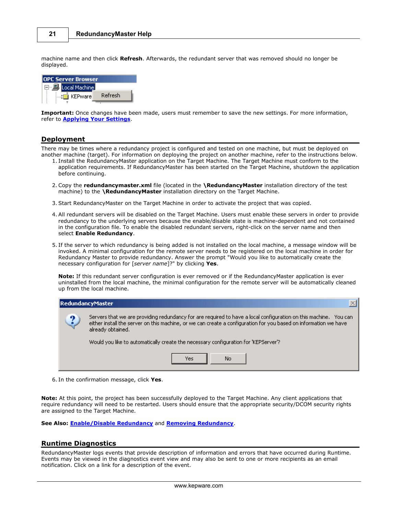machine name and then click **Refresh**. Afterwards, the redundant server that was removed should no longer be displayed.



**Important:** Once changes have been made, users must remember to save the new settings. For more information, refer to **[Applying Your Settings](#page-19-0)**.

### <span id="page-21-0"></span>**Deployment**

There may be times where a redundancy project is configured and tested on one machine, but must be deployed on another machine (target). For information on deploying the project on another machine, refer to the instructions below.

- 1. Install the RedundancyMaster application on the Target Machine. The Target Machine must conform to the application requirements. If RedundancyMaster has been started on the Target Machine, shutdown the application before continuing.
- 2. Copy the **redundancymaster.xml** file (located in the **\RedundancyMaster** installation directory of the test machine) to the **\RedundancyMaster** installation directory on the Target Machine.
- 3. Start RedundancyMaster on the Target Machine in order to activate the project that was copied.
- 4. All redundant servers will be disabled on the Target Machine. Users must enable these servers in order to provide redundancy to the underlying servers because the enable/disable state is machine-dependent and not contained in the configuration file. To enable the disabled redundant servers, right-click on the server name and then select **Enable Redundancy**.
- 5. If the server to which redundancy is being added is not installed on the local machine, a message window will be invoked. A minimal configuration for the remote server needs to be registered on the local machine in order for Redundancy Master to provide redundancy. Answer the prompt "Would you like to automatically create the necessary configuration for [*server name*]?" by clicking **Yes**.

**Note:** If this redundant server configuration is ever removed or if the RedundancyMaster application is ever uninstalled from the local machine, the minimal configuration for the remote server will be automatically cleaned up from the local machine.

|   | RedundancyMaster                                                                                                                                                                                                                                          |  |  |  |  |  |  |  |  |
|---|-----------------------------------------------------------------------------------------------------------------------------------------------------------------------------------------------------------------------------------------------------------|--|--|--|--|--|--|--|--|
| 9 | Servers that we are providing redundancy for are required to have a local configuration on this machine. You can<br>either install the server on this machine, or we can create a configuration for you based on information we have<br>already obtained. |  |  |  |  |  |  |  |  |
|   | Would you like to automatically create the necessary configuration for 'KEPServer'?                                                                                                                                                                       |  |  |  |  |  |  |  |  |
|   | No<br>Yes                                                                                                                                                                                                                                                 |  |  |  |  |  |  |  |  |

6. In the confirmation message, click **Yes**.

**Note:** At this point, the project has been successfully deployed to the Target Machine. Any client applications that require redundancy will need to be restarted. Users should ensure that the appropriate security/DCOM security rights are assigned to the Target Machine.

**See Also: [Enable/Disable Redundancy](#page-19-1)** and **[Removing Redundancy](#page-20-0)**.

# <span id="page-21-1"></span>**Runtime Diagnostics**

RedundancyMaster logs events that provide description of information and errors that have occurred during Runtime. Events may be viewed in the diagnostics event view and may also be sent to one or more recipients as an email notification. Click on a link for a description of the event.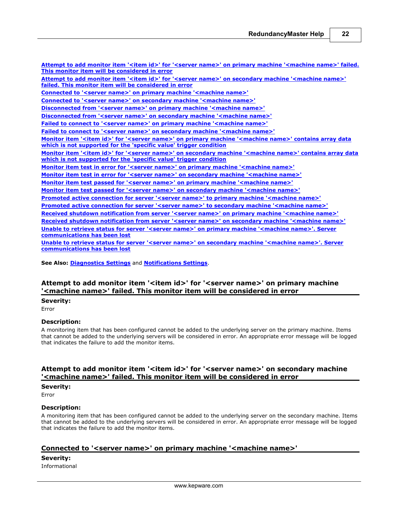**[Attempt to add monitor item '<item id>' for '<server name>' on primary machine '<machine name>' failed.](#page-22-0) [This monitor item will be considered in error](#page-22-0)** [Attempt to add monitor item '<item id>' for '<server name>' on secondary machine '<machine name>'](#page-22-1) **[failed. This monitor item will be considered in error](#page-22-1) [Connected to '<server name>' on primary machine '<machine name>'](#page-22-2) [Connected to '<server name>' on secondary machine '<machine name>'](#page-23-0) [Disconnected from '<server name>' on primary machine '<machine name>'](#page-23-1) [Disconnected from '<server name>' on secondary machine '<machine name>'](#page-23-2) [Failed to connect to '<server name>' on primary machine '<machine name>'](#page-23-3)** [Failed to connect to '<server name>' on secondary machine '<machine name>'](#page-23-4) **[Monitor item '<item id>' for '<server name>' on primary machine '<machine name>' contains array data](#page-23-5) [which is not supported for the 'specific value' trigger condition](#page-23-5) [Monitor item '<item id>' for '<server name>' on secondary machine '<machine name>' contains array data](#page-24-0) [which is not supported for the 'specific value' trigger condition](#page-24-0) [Monitor item test in error for '<server name>' on primary machine '<machine name>'](#page-24-1) [Monitor item test in error for '<server name>' on secondary machine '<machine name>'](#page-24-2) [Monitor item test passed for '<server name>' on primary machine '<machine name>'](#page-24-3) [Monitor item test passed for '<server name>' on secondary machine '<machine name>'](#page-24-4) [Promoted active connection for server '<server name>' to primary machine '<machine name>'](#page-25-0) [Promoted active connection for server '<server name>' to secondary machine '<machine name>'](#page-25-1) [Received shutdown notification from server '<server name>' on primary machine '<machine name>'](#page-25-2) [Received shutdown notification from server '<server name>' on secondary machine '<machine name>'](#page-25-3) [Unable to retrieve status for server '<server name>' on primary machine '<machine name>'. Server](#page-25-4) [communications has been lost](#page-25-4) [Unable to retrieve status for server '<server name>' on secondary machine '<machine name>'. Server](#page-26-0) [communications has been lost](#page-26-0)**

**See Also: [Diagnostics Settings](#page-16-0)** and **[Notifications Settings](#page-17-0)**.

# <span id="page-22-0"></span>**Attempt to add monitor item '<item id>' for '<server name>' on primary machine '<machine name>' failed. This monitor item will be considered in error**

**Severity:**

Error

# **Description:**

A monitoring item that has been configured cannot be added to the underlying server on the primary machine. Items that cannot be added to the underlying servers will be considered in error. An appropriate error message will be logged that indicates the failure to add the monitor items.

# <span id="page-22-1"></span>**Attempt to add monitor item '<item id>' for '<server name>' on secondary machine '<machine name>' failed. This monitor item will be considered in error**

#### **Severity:**

Error

#### **Description:**

A monitoring item that has been configured cannot be added to the underlying server on the secondary machine. Items that cannot be added to the underlying servers will be considered in error. An appropriate error message will be logged that indicates the failure to add the monitor items.

# <span id="page-22-2"></span>**Connected to '<server name>' on primary machine '<machine name>'**

**Severity:**

Informational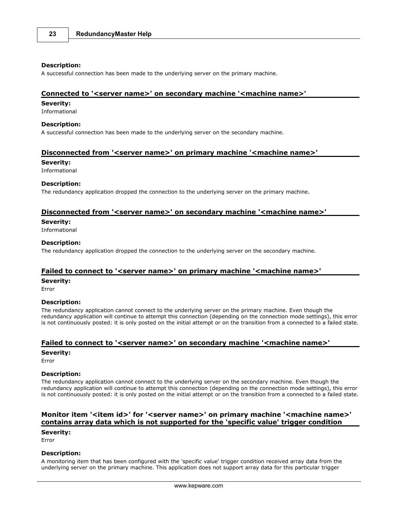#### **Description:**

A successful connection has been made to the underlying server on the primary machine.

### <span id="page-23-0"></span>**Connected to '<server name>' on secondary machine '<machine name>'**

#### **Severity:**

Informational

#### **Description:**

A successful connection has been made to the underlying server on the secondary machine.

## <span id="page-23-1"></span>**Disconnected from '<server name>' on primary machine '<machine name>'**

#### **Severity:**

Informational

#### **Description:**

The redundancy application dropped the connection to the underlying server on the primary machine.

# <span id="page-23-2"></span>**Disconnected from '<server name>' on secondary machine '<machine name>'**

#### **Severity:**

Informational

# **Description:**

The redundancy application dropped the connection to the underlying server on the secondary machine.

### <span id="page-23-3"></span>**Failed to connect to '<server name>' on primary machine '<machine name>'**

#### **Severity:**

Error

#### **Description:**

The redundancy application cannot connect to the underlying server on the primary machine. Even though the redundancy application will continue to attempt this connection (depending on the connection mode settings), this error is not continuously posted: it is only posted on the initial attempt or on the transition from a connected to a failed state.

# <span id="page-23-4"></span>**Failed to connect to '<server name>' on secondary machine '<machine name>'**

**Severity:**

Error

### **Description:**

The redundancy application cannot connect to the underlying server on the secondary machine. Even though the redundancy application will continue to attempt this connection (depending on the connection mode settings), this error is not continuously posted: it is only posted on the initial attempt or on the transition from a connected to a failed state.

# <span id="page-23-5"></span>Monitor item '<item id>' for '<server name>' on primary machine '<machine name>' **contains array data which is not supported for the 'specific value' trigger condition**

#### **Severity:**

Error

### **Description:**

A monitoring item that has been configured with the 'specific value' trigger condition received array data from the underlying server on the primary machine. This application does not support array data for this particular trigger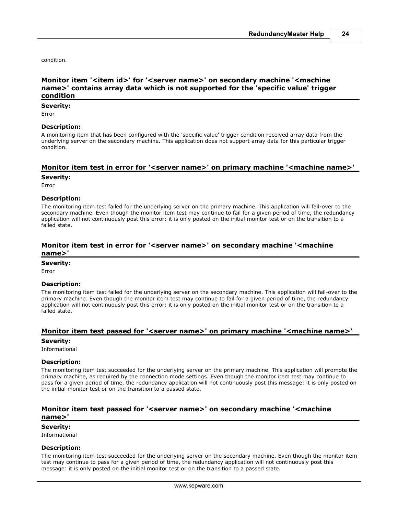condition.

# <span id="page-24-0"></span>Monitor item '<item id>' for '<server name>' on secondary machine '<machine **name>' contains array data which is not supported for the 'specific value' trigger condition**

# **Severity:**

Error

### **Description:**

A monitoring item that has been configured with the 'specific value' trigger condition received array data from the underlying server on the secondary machine. This application does not support array data for this particular trigger condition.

### <span id="page-24-1"></span>**Monitor item test in error for '<server name>' on primary machine '<machine name>'**

#### **Severity:**

Error

# **Description:**

The monitoring item test failed for the underlying server on the primary machine. This application will fail-over to the secondary machine. Even though the monitor item test may continue to fail for a given period of time, the redundancy application will not continuously post this error: it is only posted on the initial monitor test or on the transition to a failed state.

# <span id="page-24-2"></span>**Monitor item test in error for '<server name>' on secondary machine '<machine name>'**

### **Severity:**

Error

### **Description:**

The monitoring item test failed for the underlying server on the secondary machine. This application will fail-over to the primary machine. Even though the monitor item test may continue to fail for a given period of time, the redundancy application will not continuously post this error: it is only posted on the initial monitor test or on the transition to a failed state.

# <span id="page-24-3"></span>**Monitor item test passed for '<server name>' on primary machine '<machine name>'**

### **Severity:**

Informational

### **Description:**

The monitoring item test succeeded for the underlying server on the primary machine. This application will promote the primary machine, as required by the connection mode settings. Even though the monitor item test may continue to pass for a given period of time, the redundancy application will not continuously post this message: it is only posted on the initial monitor test or on the transition to a passed state.

# <span id="page-24-4"></span>**Monitor item test passed for '<server name>' on secondary machine '<machine name>'**

#### **Severity:**

Informational

#### **Description:**

The monitoring item test succeeded for the underlying server on the secondary machine. Even though the monitor item test may continue to pass for a given period of time, the redundancy application will not continuously post this message: it is only posted on the initial monitor test or on the transition to a passed state.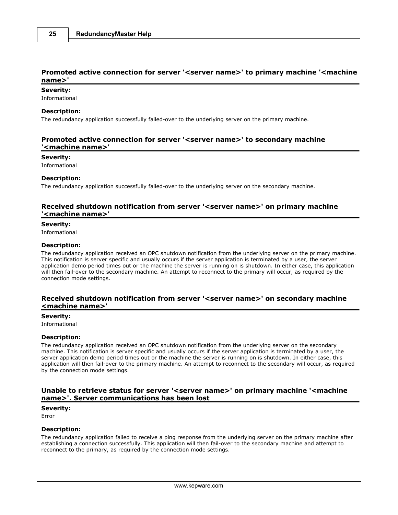# <span id="page-25-0"></span>**Promoted active connection for server '<server name>' to primary machine '<machine name>'**

### **Severity:**

Informational

### **Description:**

The redundancy application successfully failed-over to the underlying server on the primary machine.

# <span id="page-25-1"></span>**Promoted active connection for server '<server name>' to secondary machine '<machine name>'**

#### **Severity:**

Informational

#### **Description:**

The redundancy application successfully failed-over to the underlying server on the secondary machine.

# <span id="page-25-2"></span>**Received shutdown notification from server '<server name>' on primary machine '<machine name>'**

# **Severity:**

Informational

#### **Description:**

The redundancy application received an OPC shutdown notification from the underlying server on the primary machine. This notification is server specific and usually occurs if the server application is terminated by a user, the server application demo period times out or the machine the server is running on is shutdown. In either case, this application will then fail-over to the secondary machine. An attempt to reconnect to the primary will occur, as required by the connection mode settings.

# <span id="page-25-3"></span>**Received shutdown notification from server '<server name>' on secondary machine <machine name>'**

#### **Severity:**

Informational

#### **Description:**

The redundancy application received an OPC shutdown notification from the underlying server on the secondary machine. This notification is server specific and usually occurs if the server application is terminated by a user, the server application demo period times out or the machine the server is running on is shutdown. In either case, this application will then fail-over to the primary machine. An attempt to reconnect to the secondary will occur, as required by the connection mode settings.

# <span id="page-25-4"></span>**Unable to retrieve status for server '<server name>' on primary machine '<machine name>'. Server communications has been lost**

### **Severity:**

Error

# **Description:**

The redundancy application failed to receive a ping response from the underlying server on the primary machine after establishing a connection successfully. This application will then fail-over to the secondary machine and attempt to reconnect to the primary, as required by the connection mode settings.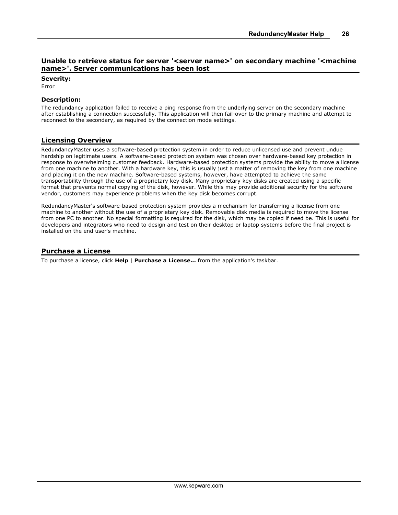# <span id="page-26-0"></span>**Unable to retrieve status for server '<server name>' on secondary machine '<machine name>'. Server communications has been lost**

**Severity:**

Error

# **Description:**

The redundancy application failed to receive a ping response from the underlying server on the secondary machine after establishing a connection successfully. This application will then fail-over to the primary machine and attempt to reconnect to the secondary, as required by the connection mode settings.

### <span id="page-26-1"></span>**Licensing Overview**

RedundancyMaster uses a software-based protection system in order to reduce unlicensed use and prevent undue hardship on legitimate users. A software-based protection system was chosen over hardware-based key protection in response to overwhelming customer feedback. Hardware-based protection systems provide the ability to move a license from one machine to another. With a hardware key, this is usually just a matter of removing the key from one machine and placing it on the new machine. Software-based systems, however, have attempted to achieve the same transportability through the use of a proprietary key disk. Many proprietary key disks are created using a specific format that prevents normal copying of the disk, however. While this may provide additional security for the software vendor, customers may experience problems when the key disk becomes corrupt.

RedundancyMaster's software-based protection system provides a mechanism for transferring a license from one machine to another without the use of a proprietary key disk. Removable disk media is required to move the license from one PC to another. No special formatting is required for the disk, which may be copied if need be. This is useful for developers and integrators who need to design and test on their desktop or laptop systems before the final project is installed on the end user's machine.

# <span id="page-26-2"></span>**Purchase a License**

To purchase a license, click **Help** | **Purchase a License...** from the application's taskbar.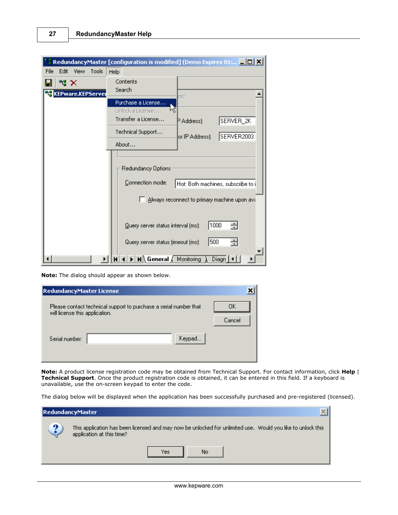| Edit<br>Tools<br>File<br><b>View</b><br>Help<br>Contents<br>₩<br>Search<br><b>te</b> KEPware.KEPServe<br>pic<br>Purchase a License<br>Unlock a License<br>Transfer a License<br>SERVER_2K<br>P Address):<br>Technical Support<br>SERVER2003<br>or IP Address):<br>About<br>Redundancy Options:<br>Connection mode:<br>Hot: Both machines, subscribe to i<br>Always reconnect to primary machine upon ava<br>1000<br>÷<br>Query server status interval (ms): | RedundancyMaster [configuration is modified] (Demo Expires 01:   0 X |
|-------------------------------------------------------------------------------------------------------------------------------------------------------------------------------------------------------------------------------------------------------------------------------------------------------------------------------------------------------------------------------------------------------------------------------------------------------------|----------------------------------------------------------------------|
|                                                                                                                                                                                                                                                                                                                                                                                                                                                             |                                                                      |
|                                                                                                                                                                                                                                                                                                                                                                                                                                                             |                                                                      |
|                                                                                                                                                                                                                                                                                                                                                                                                                                                             |                                                                      |
|                                                                                                                                                                                                                                                                                                                                                                                                                                                             |                                                                      |
|                                                                                                                                                                                                                                                                                                                                                                                                                                                             |                                                                      |
|                                                                                                                                                                                                                                                                                                                                                                                                                                                             |                                                                      |
| $\mathsf{M}\setminus\mathsf{General}\neq\mathsf{Monitoring}$<br>Diagn                                                                                                                                                                                                                                                                                                                                                                                       | ÷<br>500<br>Query server status timeout (ms):                        |

**Note:** The dialog should appear as shown below.

| <b>RedundancyMaster License</b> |                                                                   |              |
|---------------------------------|-------------------------------------------------------------------|--------------|
| will license this application.  | Please contact technical support to purchase a serial number that | OΚ<br>Cancel |
| Serial number:                  | Keypad                                                            |              |

**Note:** A product license registration code may be obtained from Technical Support. For contact information, click **Help** | **Technical Support**. Once the product registration code is obtained, it can be entered in this field. If a keyboard is unavailable, use the on-screen keypad to enter the code.

The dialog below will be displayed when the application has been successfully purchased and pre-registered (licensed).

|   | RedundancyMaster                                                                                                                         |
|---|------------------------------------------------------------------------------------------------------------------------------------------|
| œ | This application has been licensed and may now be unlocked for unlimited use. Would you like to unlock this<br>application at this time? |
|   | No<br>Yes                                                                                                                                |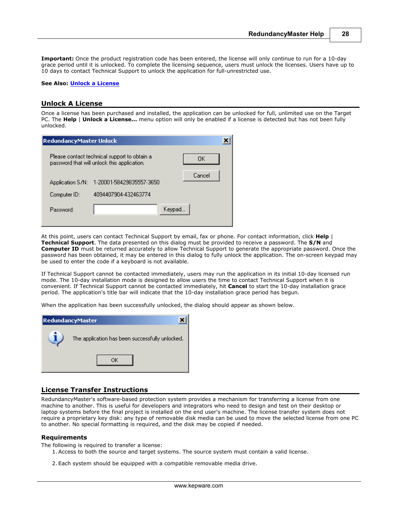**Important:** Once the product registration code has been entered, the license will only continue to run for a 10-day grace period until it is unlocked. To complete the licensing sequence, users must unlock the licenses. Users have up to 10 days to contact Technical Support to unlock the application for full-unrestricted use.

#### **See Also: [Unlock a License](#page-28-0)**

### <span id="page-28-0"></span>**Unlock A License**

Once a license has been purchased and installed, the application can be unlocked for full, unlimited use on the Target PC. The **Help** | **Unlock a License...** menu option will only be enabled if a license is detected but has not been fully unlocked.

| RedundancyMaster Unlock |                                                                                             |         |
|-------------------------|---------------------------------------------------------------------------------------------|---------|
|                         | Please contact technical support to obtain a<br>password that will unlock this application. | OK      |
|                         | Application S/N: 1-20001-58429835557-3650                                                   | Cancel  |
| Computer ID:            | 4094407904-432463774                                                                        |         |
| <b>Password:</b>        |                                                                                             | Keypad. |

At this point, users can contact Technical Support by email, fax or phone. For contact information, click **Help** | **Technical Support**. The data presented on this dialog must be provided to receive a password. The **S/N** and **Computer ID** must be returned accurately to allow Technical Support to generate the appropriate password. Once the password has been obtained, it may be entered in this dialog to fully unlock the application. The on-screen keypad may be used to enter the code if a keyboard is not available.

If Technical Support cannot be contacted immediately, users may run the application in its initial 10-day licensed run mode. The 10-day installation mode is designed to allow users the time to contact Technical Support when it is convenient. If Technical Support cannot be contacted immediately, hit **Cancel** to start the 10-day installation grace period. The application's title bar will indicate that the 10-day installation grace period has begun.

When the application has been successfully unlocked, the dialog should appear as shown below.



# <span id="page-28-1"></span>**License Transfer Instructions**

RedundancyMaster's software-based protection system provides a mechanism for transferring a license from one machine to another. This is useful for developers and integrators who need to design and test on their desktop or laptop systems before the final project is installed on the end user's machine. The license transfer system does not require a proprietary key disk: any type of removable disk media can be used to move the selected license from one PC to another. No special formatting is required, and the disk may be copied if needed.

#### **Requirements**

The following is required to transfer a license:

- 1. Access to both the source and target systems. The source system must contain a valid license.
- 2. Each system should be equipped with a compatible removable media drive.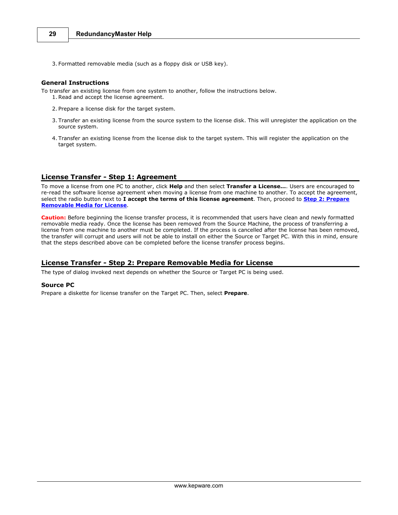3. Formatted removable media (such as a floppy disk or USB key).

# **General Instructions**

To transfer an existing license from one system to another, follow the instructions below. 3. Formatted removable media (such as a flopp)<br>**1eral Instructions**<br>ransfer an existing license from one system to a<br>1. Read and accept the license agreement.

- 2. Prepare a license disk for the target system.
- 3. Trepare a license disk for the target system.<br>3. Transfer an existing license from the source system to the license disk. This will unregister the application on the source system.
- 4. Transfer an existing license from the license disk to the target system. This will register the application on the target system.

#### <span id="page-29-0"></span>**License Transfer - Step 1: Agreement**

To move a license from one PC to another, click **Help** and then select **Transfer a License...**. Users are encouraged to re-read the software license agreement when moving a license from one machine to another. To accept the agreement, select the radio button next to **I accept the terms of this license agreement**. Then, proceed to **[Step 2: Prepare](#page-29-1) [Removable Media for License](#page-29-1)**.

**Caution:** Before beginning the license transfer process, it is recommended that users have clean and newly formatted removable media ready. Once the license has been removed from the Source Machine, the process of transferring a license from one machine to another must be completed. If the process is cancelled after the license has been removed, the transfer will corrupt and users will not be able to install on either the Source or Target PC. With this in mind, ensure that the steps described above can be completed before the license transfer process begins.

### <span id="page-29-1"></span>**License Transfer - Step 2: Prepare Removable Media for License**

The type of dialog invoked next depends on whether the Source or Target PC is being used.

#### **Source PC**

Prepare a diskette for license transfer on the Target PC. Then, select **Prepare**.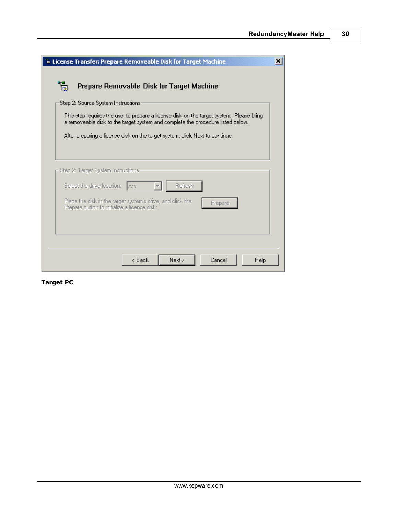**30**

| <b>E License Transfer: Prepare Removeable Disk for Target Machine</b><br>×                                                                                                  |  |  |
|-----------------------------------------------------------------------------------------------------------------------------------------------------------------------------|--|--|
| Ŧ.<br>Prepare Removable Disk for Target Machine                                                                                                                             |  |  |
| Step 2: Source System Instructions                                                                                                                                          |  |  |
| This step requires the user to prepare a license disk on the target system. Please bring<br>a removeable disk to the target system and complete the procedure listed below. |  |  |
| After preparing a license disk on the target system, click Next to continue.                                                                                                |  |  |
|                                                                                                                                                                             |  |  |
| Step 2: Target System Instructions.                                                                                                                                         |  |  |
| Select the drive location:<br>Refresh<br>IAN.                                                                                                                               |  |  |
| Place the disk in the target system's drive, and click the<br>Prepare<br>Prepare button to initialize a license disk:                                                       |  |  |
|                                                                                                                                                                             |  |  |
|                                                                                                                                                                             |  |  |
| < Back<br>Next ><br>Cancel<br>Help                                                                                                                                          |  |  |

**Target PC**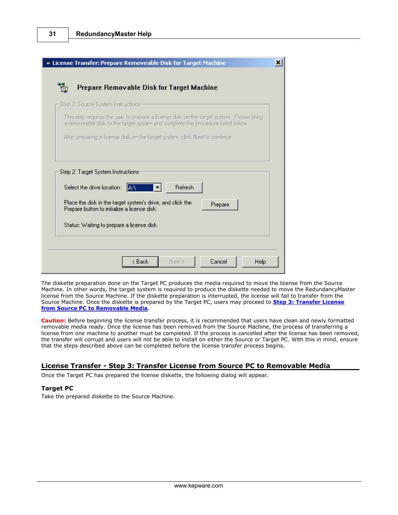| in License Transfer: Prepare Removeable Disk for Target Machine                                            | ×                                                                                        |
|------------------------------------------------------------------------------------------------------------|------------------------------------------------------------------------------------------|
| Prepare Removable Disk for Target Machine<br>同                                                             |                                                                                          |
| Step 2: Source System Instructions-                                                                        | This step requires the user to prepare a license disk on the target system. Please bring |
| After preparing a license disk on the target system, click Next to continue.                               | a removeable disk to the target system and complete the procedure listed below.          |
|                                                                                                            |                                                                                          |
| Step 2: Target System Instructions:                                                                        |                                                                                          |
| Select the drive location:<br>  A:V                                                                        | Refresh                                                                                  |
| Place the disk in the target system's drive, and click the<br>Prepare button to initialize a license disk: | Prepare                                                                                  |
| Status: Waiting to prepare a license disk.                                                                 |                                                                                          |
|                                                                                                            |                                                                                          |
| < Back                                                                                                     | Next ><br>Cancel<br>Help                                                                 |

The diskette preparation done on the Target PC produces the media required to move the license from the Source Machine. In other words, the target system is required to produce the diskette needed to move the RedundancyMaster license from the Source Machine. If the diskette preparation is interrupted, the license will fail to transfer from the Source Machine. Once the diskette is prepared by the Target PC, users may proceed to **[Step 3: Transfer License](#page-31-0) [from Source PC to Removable Media](#page-31-0)**.

**Caution:** Before beginning the license transfer process, it is recommended that users have clean and newly formatted removable media ready. Once the license has been removed from the Source Machine, the process of transferring a license from one machine to another must be completed. If the process is cancelled after the license has been removed, the transfer will corrupt and users will not be able to install on either the Source or Target PC. With this in mind, ensure that the steps described above can be completed before the license transfer process begins.

# <span id="page-31-0"></span>**License Transfer - Step 3: Transfer License from Source PC to Removable Media**

Once the Target PC has prepared the license diskette, the following dialog will appear.

### **Target PC**

Take the prepared diskette to the Source Machine.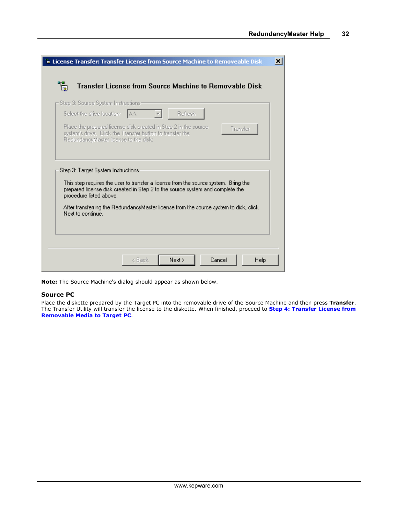**32**

| License Transfer: Transfer License from Source Machine to Removeable Disk                                                                                                         |  |
|-----------------------------------------------------------------------------------------------------------------------------------------------------------------------------------|--|
| Transfer License from Source Machine to Removable Disk<br>圖                                                                                                                       |  |
| – Step 3: Source System Instructions-                                                                                                                                             |  |
| Select the drive location:<br>Refresh<br>IAN.                                                                                                                                     |  |
| Place the prepared license disk created in Step 2 in the source<br>Transfer<br>system's drive. Click the Transfer button to transfer the<br>RedundancyMaster license to the disk: |  |
|                                                                                                                                                                                   |  |
|                                                                                                                                                                                   |  |
| Step 3: Target System Instructions:                                                                                                                                               |  |
| This step requires the user to transfer a license from the source system. Bring the                                                                                               |  |
| prepared license disk created in Step 2 to the source system and complete the<br>procedure listed above.                                                                          |  |
| After transferring the RedundancyMaster license from the source system to disk, click<br>Next to continue.                                                                        |  |
|                                                                                                                                                                                   |  |
|                                                                                                                                                                                   |  |
|                                                                                                                                                                                   |  |

**Note:** The Source Machine's dialog should appear as shown below.

### **Source PC**

Place the diskette prepared by the Target PC into the removable drive of the Source Machine and then press **Transfer**. The Transfer Utility will transfer the license to the diskette. When finished, proceed to **[Step 4: Transfer License from](#page-33-0) [Removable Media to Target PC](#page-33-0)**.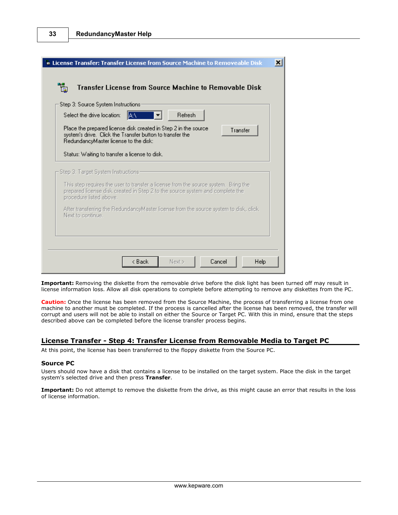| Select the drive location:          | Step 3: Source System Instructions:<br><b>Refresh</b><br> A:∖                                                                                                                     |
|-------------------------------------|-----------------------------------------------------------------------------------------------------------------------------------------------------------------------------------|
|                                     | Place the prepared license disk created in Step 2 in the source<br>Transfer<br>system's drive. Click the Transfer button to transfer the<br>RedundancyMaster license to the disk: |
|                                     | Status: Waiting to transfer a license to disk.                                                                                                                                    |
| Step 3: Target System Instructions- |                                                                                                                                                                                   |
| procedure listed above.             | This step requires the user to transfer a license from the source system. Bring the<br>prepared license disk created in Step 2 to the source system and complete the              |
|                                     |                                                                                                                                                                                   |
|                                     |                                                                                                                                                                                   |

**Important:** Removing the diskette from the removable drive before the disk light has been turned off may result in license information loss. Allow all disk operations to complete before attempting to remove any diskettes from the PC.

**Caution:** Once the license has been removed from the Source Machine, the process of transferring a license from one machine to another must be completed. If the process is cancelled after the license has been removed, the transfer will corrupt and users will not be able to install on either the Source or Target PC. With this in mind, ensure that the steps described above can be completed before the license transfer process begins.

# <span id="page-33-0"></span>**License Transfer - Step 4: Transfer License from Removable Media to Target PC**

At this point, the license has been transferred to the floppy diskette from the Source PC.

# **Source PC**

Users should now have a disk that contains a license to be installed on the target system. Place the disk in the target system's selected drive and then press **Transfer**.

**Important:** Do not attempt to remove the diskette from the drive, as this might cause an error that results in the loss of license information.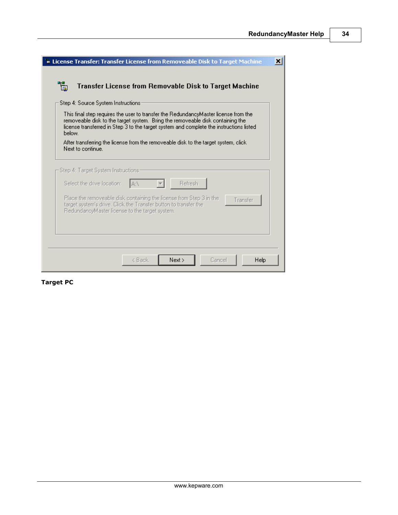**34**

| <b>b License Transfer: Transfer License from Removeable Disk to Target Machine</b>                                                                                                                                                                                         | × |
|----------------------------------------------------------------------------------------------------------------------------------------------------------------------------------------------------------------------------------------------------------------------------|---|
| Ŧ.<br>Transfer License from Removable Disk to Target Machine                                                                                                                                                                                                               |   |
| Step 4: Source System Instructions:                                                                                                                                                                                                                                        |   |
| This final step requires the user to transfer the RedundancyMaster license from the<br>removeable disk to the target system. Bring the removeable disk containing the<br>license transferred in Step 3 to the target system and complete the instructions listed<br>below. |   |
| After transferring the license from the removeable disk to the target system, click<br>Next to continue.                                                                                                                                                                   |   |
| - Step 4: Target System Instructions -                                                                                                                                                                                                                                     |   |
| Select the drive location:<br>Refresh<br>IAN.                                                                                                                                                                                                                              |   |
| Place the removeable disk containing the license from Step 3 in the<br>Transfer<br>target system's drive. Click the Transfer button to transfer the<br>RedundancyMaster license to the target system.                                                                      |   |
|                                                                                                                                                                                                                                                                            |   |
| Next<br>Cancel<br><b>Help</b><br>< Back                                                                                                                                                                                                                                    |   |

**Target PC**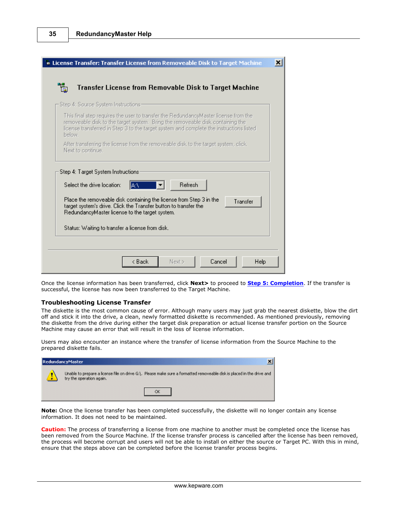| Step 4: Source System Instructions: |                                                                                                                                                                                                                                                                  |
|-------------------------------------|------------------------------------------------------------------------------------------------------------------------------------------------------------------------------------------------------------------------------------------------------------------|
| below.                              | This final step requires the user to transfer the RedundancyMaster license from the<br>removeable disk to the target system. Bring the removeable disk containing the<br>license transferred in Step 3 to the target system and complete the instructions listed |
| Next to continue.                   | After transferring the license from the removeable disk to the target system, click                                                                                                                                                                              |
|                                     | Refresh<br>Select the drive location:<br> A:∖                                                                                                                                                                                                                    |

Once the license information has been transferred, click **Next>** to proceed to **[Step 5: Completion](#page-36-0)**. If the transfer is successful, the license has now been transferred to the Target Machine.

#### **Troubleshooting License Transfer**

The diskette is the most common cause of error. Although many users may just grab the nearest diskette, blow the dirt off and stick it into the drive, a clean, newly formatted diskette is recommended. As mentioned previously, removing the diskette from the drive during either the target disk preparation or actual license transfer portion on the Source Machine may cause an error that will result in the loss of license information.

Users may also encounter an instance where the transfer of license information from the Source Machine to the prepared diskette fails.

| RedundancyMaster                                                                                                                                   |  |  |
|----------------------------------------------------------------------------------------------------------------------------------------------------|--|--|
| Unable to prepare a license file on drive G:\, Please make sure a formatted removeable disk is placed in the drive and<br>try the operation again. |  |  |
|                                                                                                                                                    |  |  |

**Note:** Once the license transfer has been completed successfully, the diskette will no longer contain any license information. It does not need to be maintained.

**Caution:** The process of transferring a license from one machine to another must be completed once the license has been removed from the Source Machine. If the license transfer process is cancelled after the license has been removed, the process will become corrupt and users will not be able to install on either the source or Target PC. With this in mind, ensure that the steps above can be completed before the license transfer process begins.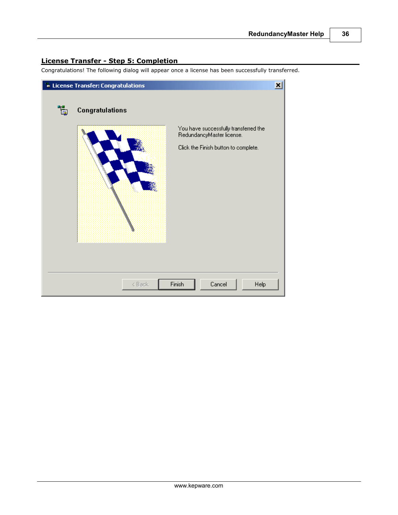# <span id="page-36-0"></span>**License Transfer - Step 5: Completion**

Congratulations! The following dialog will appear once a license has been successfully transferred.

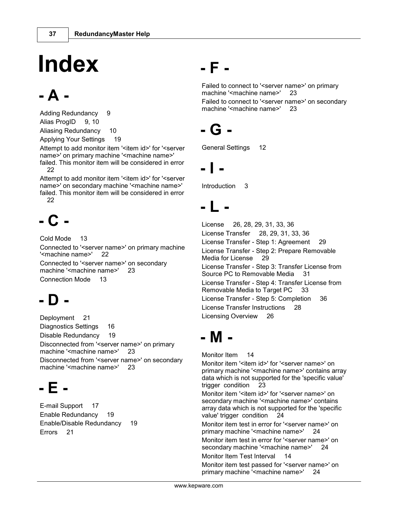# **Index**

# **- A -**

Adding Redundancy 9 Alias ProgID 9, 10 Aliasing Redundancy 10 Applying Your Settings 19

Attempt to add monitor item '<item id>' for '<server name>' on primary machine '<machine name>' failed. This monitor item will be considered in error 22

Attempt to add monitor item '<item id>' for '<server name>' on secondary machine '<machine name>' failed. This monitor item will be considered in error 22

# **- C -**

Cold Mode 13 Connected to '<server name>' on primary machine '<machine name>' 22 Connected to '<server name>' on secondary machine '<machine name>' 23 Connection Mode 13

# **- D -**

Deployment 21 Diagnostics Settings 16 Disable Redundancy 19 Disconnected from '<server name>' on primary machine '<machine name>' 23 Disconnected from '<server name>' on secondary machine '<machine name>' 23

# **- E -**

E-mail Support 17 Enable Redundancy 19 Enable/Disable Redundancy 19 Errors 21

# **- F -**

Failed to connect to '<server name>' on primary machine '<machine name>' 23

Failed to connect to '<server name>' on secondary machine '<machine name>' 23

# **- G -**

General Settings 12

# **- I -**

Introduction 3

# **- L -**

License 26, 28, 29, 31, 33, 36 License Transfer 28, 29, 31, 33, 36 License Transfer - Step 1: Agreement 29 License Transfer - Step 2: Prepare Removable Media for License 29 License Transfer - Step 3: Transfer License from Source PC to Removable Media 31 License Transfer - Step 4: Transfer License from Removable Media to Target PC 33 License Transfer - Step 5: Completion 36 License Transfer Instructions 28 Licensing Overview 26

# **- M -**

Monitor Item 14

Monitor item '<item id>' for '<server name>' on primary machine '<machine name>' contains array data which is not supported for the 'specific value' trigger condition 23

Monitor item '<item id>' for '<server name>' on secondary machine '<machine name>' contains array data which is not supported for the 'specific value' trigger condition 24

Monitor item test in error for '<server name>' on primary machine '<machine name>' 24

Monitor item test in error for '<server name>' on secondary machine '<machine name>' 24

Monitor Item Test Interval 14

Monitor item test passed for '<server name>' on primary machine '<machine name>' 24